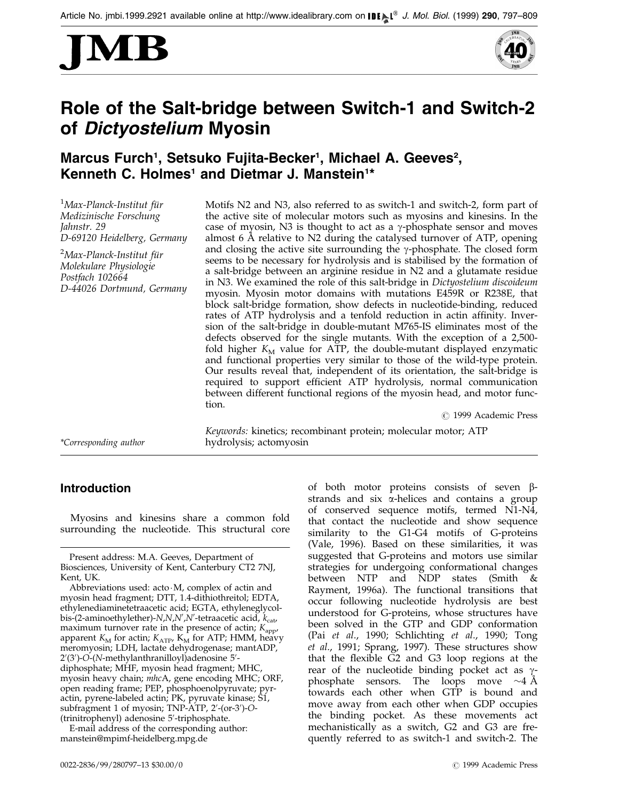



# Role of the Salt-bridge between Switch-1 and Switch-2 of Dictyostelium Myosin

## Marcus Furch<sup>1</sup>, Setsuko Fujita-Becker<sup>1</sup>, Michael A. Geeves<sup>2</sup>, Kenneth C. Holmes<sup>1</sup> and Dietmar J. Manstein<sup>1\*</sup>

 $^1$ Max-Planck-Institut für Medizinische Forschung Jahnstr. 29 D-69120 Heidelberg, Germany

<sup>2</sup>Max-Planck-Institut für Molekulare Physiologie Postfach 102664 D-44026 Dortmund, Germany Motifs N2 and N3, also referred to as switch-1 and switch-2, form part of the active site of molecular motors such as myosins and kinesins. In the case of myosin, N3 is thought to act as a  $\gamma$ -phosphate sensor and moves almost  $6$  Å relative to N2 during the catalysed turnover of ATP, opening and closing the active site surrounding the  $\gamma$ -phosphate. The closed form seems to be necessary for hydrolysis and is stabilised by the formation of a salt-bridge between an arginine residue in N2 and a glutamate residue in N3. We examined the role of this salt-bridge in Dictyostelium discoideum myosin. Myosin motor domains with mutations E459R or R238E, that block salt-bridge formation, show defects in nucleotide-binding, reduced rates of ATP hydrolysis and a tenfold reduction in actin affinity. Inversion of the salt-bridge in double-mutant M765-IS eliminates most of the defects observed for the single mutants. With the exception of a 2,500 fold higher  $K_M$  value for ATP, the double-mutant displayed enzymatic and functional properties very similar to those of the wild-type protein. Our results reveal that, independent of its orientation, the salt-bridge is required to support efficient ATP hydrolysis, normal communication between different functional regions of the myosin head, and motor function.

Keywords: kinetics; recombinant protein; molecular motor; ATP

 $\odot$  1999 Academic Press

\*Corresponding author hydrolysis; actomyosin

### Introduction

Myosins and kinesins share a common fold surrounding the nucleotide. This structural core

Abbreviations used: acto $\cdot$ M, complex of actin and myosin head fragment; DTT, 1.4-dithiothreitol; EDTA, ethylenediaminetetraacetic acid; EGTA, ethyleneglycolbis-(2-aminoethylether)-N,N,N',N'-tetraacetic acid,  $k_{\mathrm{cat}}$ , maximum turnover rate in the presence of actin;  $K_{\text{app}}$ , apparent  $K_M$  for actin;  $K_{ATP}$ ,  $K_M$  for ATP; HMM, heavy meromyosin; LDH, lactate dehydrogenase; mantADP, 2′(3′)-O-(N-methylanthranilloyl)adenosine 5′diphosphate; MHF, myosin head fragment; MHC, myosin heavy chain; mhcA, gene encoding MHC; ORF, open reading frame; PEP, phosphoenolpyruvate; pyractin, pyrene-labeled actin; PK, pyruvate kinase; S1, subfragment 1 of myosin; TNP-ATP, 2'-(or-3')-O-(trinitrophenyl) adenosine 5'-triphosphate.

E-mail address of the corresponding author: manstein@mpimf-heidelberg.mpg.de

of both motor proteins consists of seven  $\beta$ strands and six a-helices and contains a group of conserved sequence motifs, termed N1-N4, that contact the nucleotide and show sequence similarity to the G1-G4 motifs of G-proteins [\(Vale, 19](#page-12-0)96). Based on these similarities, it was suggested that G-proteins and motors use similar strategies for undergoing conformational changes between NTP and NDP states [\(Smith](#page-12-0) & Rayment, 1996a). The functional transitions that occur following nucleotide hydrolysis are best understood for G-proteins, whose structures have been solved in the GTP and GDP conformation [\(Pai](#page-12-0) et al., 1990; [Schlichti](#page-12-0)ng et al., 1990; [Tong](#page-12-0) et al., 1991; [Sprang,](#page-12-0) 1997). These structures show that the flexible  $G2$  and  $G3$  loop regions at the rear of the nucleotide binding pocket act as  $\gamma$ phosphate sensors. The loops move  $\sim$ 4 Å towards each other when GTP is bound and move away from each other when GDP occupies the binding pocket. As these movements act mechanistically as a switch, G2 and G3 are frequently referred to as switch-1 and switch-2. The

Present address: M.A. Geeves, Department of Biosciences, University of Kent, Canterbury CT2 7NJ, Kent, UK.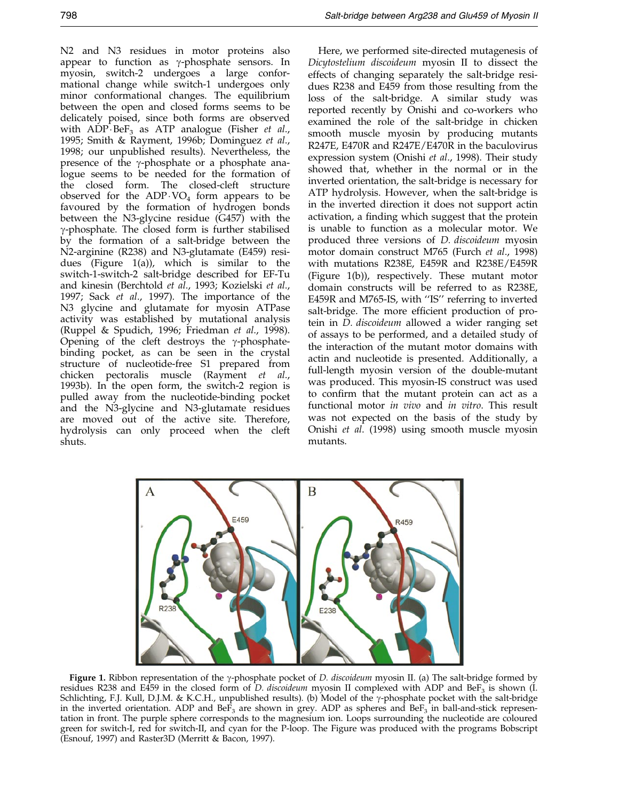N2 and N3 residues in motor proteins also appear to function as  $\gamma$ -phosphate sensors. In myosin, switch-2 undergoes a large conformational change while switch-1 undergoes only minor conformational changes. The equilibrium between the open and closed forms seems to be delicately poised, since both forms are observed with  $ADP\cdot BeF_3$  as ATP analogue [\(Fisher](#page-11-0) *et al.*, 1995; [Smith &](#page-12-0) Rayment, 1996b; [Domingu](#page-11-0)ez et al., 1998; our unpublished results). Nevertheless, the presence of the  $\gamma$ -phosphate or a phosphate analogue seems to be needed for the formation of the closed form. The closed-cleft structure observed for the  $ADP\cdot VO_4$  form appears to be favoured by the formation of hydrogen bonds between the N3-glycine residue (G457) with the  $\gamma$ -phosphate. The closed form is further stabilised by the formation of a salt-bridge between the N2-arginine (R238) and N3-glutamate (E459) residues (Figure 1(a)), which is similar to the switch-1-switch-2 salt-bridge described for EF-Tu and kinesin [\(Berchtold](#page-11-0) et al., 1993; [Kozielsk](#page-11-0)i et al., 1997; [Sack](#page-12-0) et al., 1997). The importance of the N3 glycine and glutamate for myosin ATPase activity was established by mutational analysis [\(Ruppel](#page-12-0) & Spudich, 1996; [Friedman](#page-11-0) et al., 1998). Opening of the cleft destroys the  $\gamma$ -phosphatebinding pocket, as can be seen in the crystal structure of nucleotide-free S1 prepared from chicken pectoralis muscle [\(Rayment](#page-12-0) et al., 199[3b\). In th](#page-12-0)e open form, the switch-2 region is pulled away from the nucleotide-binding pocket and the N3-glycine and N3-glutamate residues are moved out of the active site. Therefore, hydrolysis can only proceed when the cleft shuts.

Here, we performed site-directed mutagenesis of Dicytostelium discoideum myosin II to dissect the effects of changing separately the salt-bridge residues R238 and E459 from those resulting from the loss of the salt-bridge. A similar study was reported recently by Onishi and co-workers who examined the role of the salt-bridge in chicken smooth muscle myosin by producing mutants R247E, E470R and R247E/E470R in the baculovirus expression system [\(Onishi](#page-12-0) et al., 1998). Their study showed that, whether in the normal or in the inverted orientation, the salt-bridge is necessary for ATP hydrolysis. However, when the salt-bridge is in the inverted direction it does not support actin activation, a finding which suggest that the protein is unable to function as a molecular motor. We produced three versions of D. discoideum myosin motor domain construct M765 [\(Furch](#page-11-0) et al., 1998) with mutations R238E, E459R and R238E/E459R (Figure 1(b)), respectively. These mutant motor domain constructs will be referred to as R238E, E459R and M765-IS, with "IS" referring to inverted salt-bridge. The more efficient production of protein in D. discoideum allowed a wider ranging set of assays to be performed, and a detailed study of the interaction of the mutant motor domains with actin and nucleotide is presented. Additionally, a full-length myosin version of the double-mutant was produced. This myosin-IS construct was used to confirm that the mutant protein can act as a functional motor in vivo and in vitro. This result was not expected on the basis of the study by [Onishi](#page-12-0) et al. (1998) using smooth muscle myosin mutants.



Figure 1. Ribbon representation of the y-phosphate pocket of D. discoideum myosin II. (a) The salt-bridge formed by residues R238 and E459 in the closed form of D. discoideum myosin II complexed with ADP and BeF<sub>3</sub> is shown (I. Schlichting, F.J. Kull, D.J.M. & K.C.H., unpublished results). (b) Model of the y-phosphate pocket with the salt-bridge in the inverted orientation. ADP and  $B\epsilon F_3$  are shown in grey. ADP as spheres and  $B\epsilon F_3$  in ball-and-stick representation in front. The purple sphere corresponds to the magnesium ion. Loops surrounding the nucleotide are coloured green for switch-I, red for switch-II, and cyan for the P-loop. The Figure was produced with the programs Bobscript [\(Esnouf, 19](#page-11-0)97) and Raster3D (Merritt & Bacon, 1997).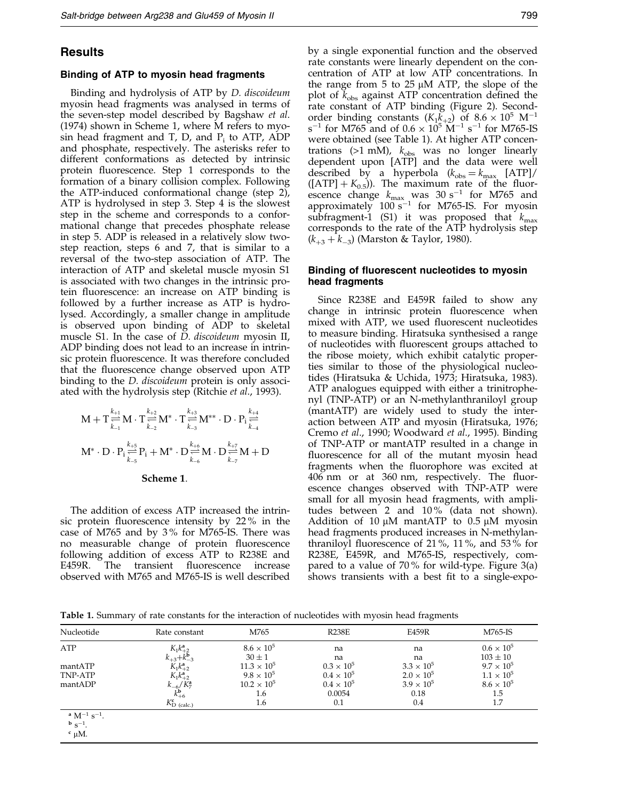### <span id="page-2-0"></span>Results

### Binding of ATP to myosin head fragments

Binding and hydrolysis of ATP by D. discoideum myosin head fragments was analysed in terms of the seven-step model described by [Bagshaw](#page-11-0) et al. (1974) shown in Scheme 1, where M refers to myosin head fragment and T, D, and  $P_i$  to ATP, ADP and phosphate, respectively. The asterisks refer to different conformations as detected by intrinsic protein fluorescence. Step  $1$  corresponds to the formation of a binary collision complex. Following the ATP-induced conformational change (step 2), ATP is hydrolysed in step 3. Step 4 is the slowest step in the scheme and corresponds to a conformational change that precedes phosphate release in step 5. ADP is released in a relatively slow twostep reaction, steps 6 and 7, that is similar to a reversal of the two-step association of ATP. The interaction of ATP and skeletal muscle myosin S1 is associated with two changes in the intrinsic protein fluorescence: an increase on ATP binding is followed by a further increase as ATP is hydrolysed. Accordingly, a smaller change in amplitude is observed upon binding of ADP to skeletal muscle S1. In the case of *D. discoideum* myosin II, ADP binding does not lead to an increase in intrinsic protein fluorescence. It was therefore concluded that the fluorescence change observed upon ATP binding to the *D. discoideum* protein is only associ-ated with the hydrolysis step [\(Ritchie](#page-12-0) et al., 1993).

$$
\begin{aligned} \mathbf{M}+\boldsymbol{T}\mathop{\stackrel{k_{+1}}{\underset{k_{-1}}{\overset{k_{+2}}{\rightleftharpoons}}}M}\boldsymbol{\cdot}\boldsymbol{T}\mathop{\stackrel{k_{+2}}{\underset{k_{-2}}{\overset{k_{+2}}{\rightleftharpoons}}}M^*}\cdot\boldsymbol{T}\mathop{\stackrel{k_{+3}}{\underset{k_{-3}}{\overset{k_{+4}}{\rightleftharpoons}}}M^{**}\cdot\boldsymbol{D}\cdot\boldsymbol{P_i}\mathop{\stackrel{k_{+4}}{\underset{k_{-4}}{\overset{k_{-4}}{\rightleftharpoons}}}M} \cdot\\ \boldsymbol{M}^*\cdot\boldsymbol{D}\cdot\boldsymbol{P_i}\mathop{\stackrel{k_{+5}}{\underset{k_{-5}}{\overset{k_{-5}}{\rightleftharpoons}}}P_i+\boldsymbol{M}^*\cdot\boldsymbol{D}\mathop{\stackrel{k_{+6}}{\underset{k_{-6}}{\overset{k_{+6}}{\rightleftharpoons}}}M\cdot\boldsymbol{D}\mathop{\stackrel{k_{+7}}{\underset{k_{-7}}{\overset{k_{+7}}{\rightleftharpoons}}}M+D} \end{aligned}
$$

#### Scheme 1:

The addition of excess ATP increased the intrinsic protein fluorescence intensity by  $22\%$  in the case of M765 and by 3 % for M765-IS. There was no measurable change of protein fluorescence following addition of excess ATP to R238E and E459R. The transient fluorescence increase observed with M765 and M765-IS is well described

by a single exponential function and the observed rate constants were linearly dependent on the concentration of ATP at low ATP concentrations. In the range from  $5$  to  $25 \mu M$  ATP, the slope of the plot of  $k_{obs}$  against ATP concentration defined the rate constant of ATP binding (Figure 2). Secondorder binding constants  $(K_1\bar{K}_+2)$  of  $8.6 \times 10^5$  M<sup>-1</sup>  $s^{-1}$  for M765 and of 0.6  $\times$  10<sup>5</sup> M<sup>-1</sup> s<sup>-1</sup> for M765-IS were obtained (see Table 1). At higher ATP concentrations ( $>1$  mM),  $k_{obs}$  was no longer linearly dependent upon [ATP] and the data were well described by a hyperbola  $(k_{obs} = k_{max}$  [ATP]/  $([ATP] + K_{0.5})$ ). The maximum rate of the fluorescence change  $k_{\text{max}}$  was 30 s<sup>-1</sup> for M765 and approximately  $100 s^{-1}$  for M765-IS. For myosin subfragment-1 (S1) it was proposed that  $k_{\text{max}}$ corresponds to the rate of the ATP hydrolysis step  $(k_{+3} + k_{-3})$  [\(Marston](#page-11-0) & Taylor, 1980).

### Binding of fluorescent nucleotides to myosin head fragments

Since R238E and E459R failed to show any change in intrinsic protein fluorescence when mixed with ATP, we used fluorescent nucleotides to measure binding. Hiratsuka synthesised a range of nucleotides with fluorescent groups attached to the ribose moiety, which exhibit catalytic properties similar to those of the physiological nucleotides [\(Hiratsuk](#page-11-0)a & Uchida, 1973; [Hiratsuk](#page-11-0)a, 1983). ATP analogues equipped with either a trinitrophenyl (TNP-ATP) or an N-methylanthraniloyl group (mantATP) are widely used to study the interaction between ATP and myosin [\(Hiratsuk](#page-11-0)a, 1976; [Cremo](#page-11-0) et al., 1990[; Woodwa](#page-12-0)rd et al., 1995). Binding of TNP-ATP or mantATP resulted in a change in fluorescence for all of the mutant myosin head fragments when the fluorophore was excited at 406 nm or at 360 nm, respectively. The fluorescence changes observed with TNP-ATP were small for all myosin head fragments, with amplitudes between 2 and 10 % (data not shown). Addition of 10  $\mu$ M mantATP to 0.5  $\mu$ M myosin head fragments produced increases in N-methylanthraniloyl fluorescence of 21%, 11%, and 53% for R238E, E459R, and M765-IS, respectively, compared to a value of 70 % for wild-type. Figure 3(a) shows transients with a best fit to a single-expo-

Table 1. Summary of rate constants for the interaction of nucleotides with myosin head fragments

| Nucleotide                                                                                | Rate constant                                 | M765                              | <b>R238E</b>        | E459R               | M765-IS                             |
|-------------------------------------------------------------------------------------------|-----------------------------------------------|-----------------------------------|---------------------|---------------------|-------------------------------------|
| ATP                                                                                       | $K_1k_{+2}^a$<br>$k_{+3}+k_{-3}^{\mathbf{b}}$ | $8.6 \times 10^{5}$<br>$30 \pm 1$ | na<br>na            | na<br>na            | $0.6 \times 10^{5}$<br>$103 \pm 10$ |
| mantATP                                                                                   | $K_1 k_{+2}^a$                                | $11.3 \times 10^{5}$              | $0.3 \times 10^{5}$ | $3.3 \times 10^{5}$ | $9.7 \times 10^5$                   |
| TNP-ATP                                                                                   | $K_1 k_{+2}^a$                                | $9.8 \times 10^{5}$               | $0.4 \times 10^{5}$ | $2.0 \times 10^{5}$ | $1.1 \times 10^{5}$                 |
| mantADP                                                                                   |                                               | $10.2 \times 10^{5}$              | $0.4 \times 10^{5}$ | $3.9 \times 10^{5}$ | $8.6 \times 10^{5}$                 |
|                                                                                           | $\frac{k_{-6}/K^{\rm a}_{7}}{k_{+6}^{\rm b}}$ | 1.6                               | 0.0054              | 0.18                | 1.5                                 |
|                                                                                           | $K_{\text{D (calc.)}}^{\text{c}}$             | 1.6                               | 0.1                 | 0.4                 | 1.7                                 |
| $^{\rm a}$ M <sup>-1</sup> s <sup>-1</sup> .<br>$^{b}$ s <sup>-1</sup> .<br>$\sim$ $\sim$ |                                               |                                   |                     |                     |                                     |

 $\cdot$   $\mu$ M.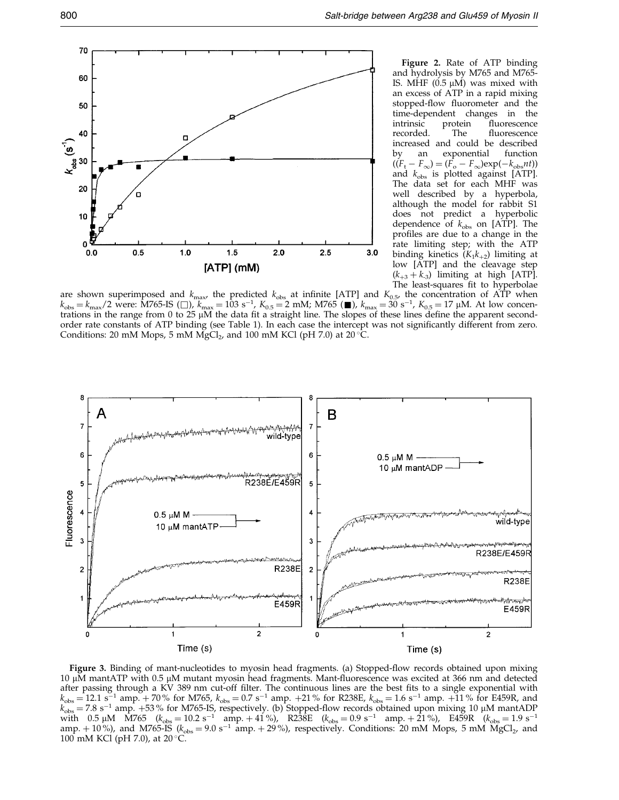

Figure 2. Rate of ATP binding and hydrolysis by M765 and M765- IS. MHF  $(0.5 \mu M)$  was mixed with an excess of ATP in a rapid mixing stopped-flow fluorometer and the time-dependent changes in the intrinsic protein fluorescence<br>recorded. The fluorescence fluorescence increased and could be described by an exponential function  $((F_t - F_\infty) = (F_o - F_\infty)exp(-k_{obs}nt))$ and  $k_{\rm obs}$  is plotted against [ATP]. The data set for each MHF was well described by a hyperbola, although the model for rabbit S1 does not predict a hyperbolic dependence of  $k_{obs}$  on [ATP]. The profiles are due to a change in the rate limiting step; with the ATP binding kinetics  $(K_1k_{+2})$  limiting at low [ATP] and the cleavage step  $(k_{+3} + k_{-3})$  limiting at high [ATP]. The least-squares fit to hyperbolae

are shown superimposed and  $k_{\text{max}}$ , the predicted  $k_{\text{obs}}$  at infinite [ATP] and  $K_{0.5}$ , the concentration of ATP when  $k_{\text{obs}} = k_{\text{max}}/2$  were: M765-IS ( $\Box$ ),  $k_{\text{max}} = 103 \text{ s}^{-1}$ ,  $K_{0.5} = 2 \text{ mM}$ ; M765 ( $\Box$ ),  $k_{\text{max}} = 30 \text{ s}^{-1}$ ,  $K_{0.5} = 17 \text{ µM}$ . At low concentrations in the range from 0 to 25  $\mu$ M the data fit a straight lin order rate constants of ATP binding (see [Table 1\).](#page-2-0) In each case the intercept was not significantly different from zero. Conditions: 20 mM Mops, 5 mM MgCl<sub>2</sub>, and 100 mM KCl (pH 7.0) at 20 °C.



Figure 3. Binding of mant-nucleotides to myosin head fragments. (a) Stopped-flow records obtained upon mixing 10 μM mantATP with 0.5 μM mutant myosin head fragments. Mant-fluorescence was excited at 366 nm and detected after passing through a KV 389 nm cut-off filter. The continuous lines are the best fits to a single exponential with  $k_{\text{obs}} = 12.1 \text{ s}^{-1}$  amp.  $+ 70\%$  for M765,  $k_{\text{obs}} = 0.7 \text{ s}^{-1}$  amp.  $+ 21\%$  for R238E,  $k_{\text{obs}} = 1.6 \text{ s}^{-1}$  amp.  $+ 11\%$  for E459R, and  $k_{obs} = 7.8 \text{ s}^{-1}$  amp. +53 % for M765-IS, respectively. (b) Stopped-flow records obtained upon mixing 10 µM mantADP with 0.5  $\mu$ M M765 ( $k_{\text{obs}} = 10.2 \text{ s}^{-1}$  amp.  $+ 41 \%$ ), R238E ( $k_{\text{obs}} = 0.9 \text{ s}^{-1}$  amp.  $+ 21 \%$ ), E459R ( $k_{\text{obs}} = 1.9 \text{ s}^{-1}$ amp.  $+10\%$ ), and M765-IS ( $k_{obs} = 9.0 \text{ s}^{-1}$  amp.  $+29\%$ ), respectively. Conditions: 20 mM Mops, 5 mM MgCl<sub>2</sub>, and 100 mM KCl (pH 7.0), at  $20^{\circ}$ C.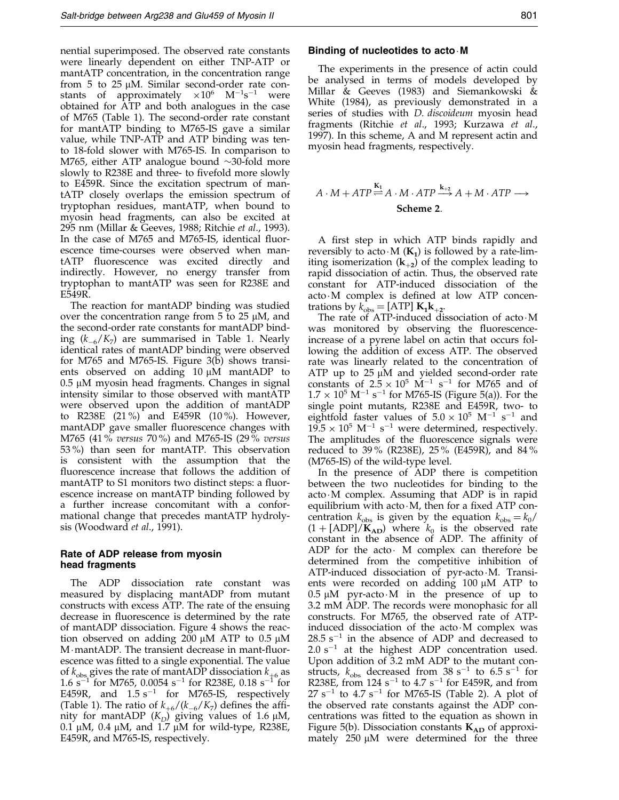nential superimposed. The observed rate constants were linearly dependent on either TNP-ATP or mantATP concentration, in the concentration range from 5 to 25  $\mu$ M. Similar second-order rate constants of approximately  $\times 10^6$  M<sup>-1</sup>s<sup>-1</sup> were obtained for ATP and both analogues in the case of M765 [\(Table 1\).](#page-2-0) The second-order rate constant for mantATP binding to M765-IS gave a similar value, while TNP-ATP and ATP binding was tento 18-fold slower with M765-IS. In comparison to M765, either ATP analogue bound  $\sim$ 30-fold more slowly to R238E and three- to fivefold more slowly to E459R. Since the excitation spectrum of mantATP closely overlaps the emission spectrum of tryptophan residues, mantATP, when bound to myosin head fragments, can also be excited at 295 nm [\(Millar &](#page-11-0) Geeves, 1988[; Ritchie](#page-12-0) et al., 1993). In the case of  $M765$  and  $M765$ -IS, identical fluorescence time-courses were observed when mantATP fluorescence was excited directly and indirectly. However, no energy transfer from tryptophan to mantATP was seen for R238E and E549R.

The reaction for mantADP binding was studied over the concentration range from  $5$  to  $25 \mu M$ , and the second-order rate constants for mantADP binding  $(k_{-6}/K_7)$  are summarised in [Table 1.](#page-2-0) Nearly identical rates of mantADP binding were observed for M765 and M765-IS. Figure 3(b) shows transients observed on adding  $10 \mu M$  mantADP to  $0.5 \mu M$  myosin head fragments. Changes in signal intensity similar to those observed with mantATP were observed upon the addition of mantADP to R238E (21 %) and E459R (10 %). However, mantADP gave smaller fluorescence changes with M765 (41 % versus 70 %) and M765-IS (29 % versus 53 %) than seen for mantATP. This observation is consistent with the assumption that the fluorescence increase that follows the addition of mantATP to S1 monitors two distinct steps: a fluorescence increase on mantATP binding followed by a further increase concomitant with a conformational change that precedes mantATP hydrolysis [\(Woodwa](#page-12-0)rd et al., 1991).

### Rate of ADP release from myosin head fragments

The ADP dissociation rate constant was measured by displacing mantADP from mutant constructs with excess ATP. The rate of the ensuing decrease in fluorescence is determined by the rate of mantADP dissociation. Figure 4 shows the reaction observed on adding  $200 \mu M$  ATP to 0.5  $\mu$ M  $M$  mantADP. The transient decrease in mant-fluorescence was fitted to a single exponential. The value of  $k_{\text{obs}}$  gives the rate of mantADP dissociation  $k_{+6}$  as 1.6 s<sup>-1</sup> for M765, 0.0054 s<sup>-1</sup> for R238E, 0.18 s<sup>-1</sup> for <sup>1</sup> for M765, 0.0054 s<sup>-1</sup> for R238E, 0.18 s<sup>-1</sup> for E459R, and  $1.5 \text{ s}^{-1}$  for M765-IS, respectively [\(Table 1\).](#page-2-0) The ratio of  $k_{+6}/(k_{-6}/K_7)$  defines the affinity for mantADP  $(K_D)$  giving values of 1.6  $\mu$ M, 0.1  $\mu$ M, 0.4  $\mu$ M, and 1.7  $\mu$ M for wild-type, R238E, E459R, and M765-IS, respectively.

### Binding of nucleotides to acto  $M$

The experiments in the presence of actin could be analysed in terms of models developed by [Millar &](#page-11-0) Geeves (1983) and [Siemank](#page-12-0)owski & White (1984), as previously demonstrated in a series of studies with D. discoideum myosin head fragments [\(Ritchie](#page-12-0) et al., 1993; [Kurzawa](#page-11-0) et al., 1997). In this scheme, A and M represent actin and myosin head fragments, respectively.

$$
A \cdot M + ATP \stackrel{\mathbf{K}_1}{\rightleftharpoons} A \cdot M \cdot ATP \stackrel{\mathbf{k}_{+2}}{\longrightarrow} A + M \cdot ATP \longrightarrow
$$
  
**Scheme 2**.

A first step in which ATP binds rapidly and reversibly to acto  $M(K_1)$  is followed by a rate-limiting isomerization  $(k_{+2})$  of the complex leading to rapid dissociation of actin. Thus, the observed rate constant for ATP-induced dissociation of the  $acto \cdot M$  complex is defined at low ATP concentrations by  $k_{obs} =$  [ATP]  $K_1k_{+2}$ .

The rate of ATP-induced dissociation of  $acto \cdot M$ was monitored by observing the fluorescenceincrease of a pyrene label on actin that occurs following the addition of excess ATP. The observed rate was linearly related to the concentration of ATP up to  $25 \mu M$  and yielded second-order rate constants of  $2.5 \times 10^5$  M<sup>-1</sup> s<sup>-1</sup> for M765 and of  $1.7 \times 10^5$  M<sup>-1</sup> s<sup>-1</sup> for M765-IS (Figure 5(a)). For the single point mutants, R238E and E459R, two- to eightfold faster values of  $5.0 \times 10^5$  M<sup>-1</sup> s<sup>-1</sup> and  $19.5 \times 10^5$  M<sup>-1</sup> s<sup>-1</sup> were determined, respectively. The amplitudes of the fluorescence signals were reduced to 39 % (R238E), 25 % (E459R), and 84 % (M765-IS) of the wild-type level.

In the presence of ADP there is competition between the two nucleotides for binding to the  $acto \cdot M$  complex. Assuming that ADP is in rapid equilibrium with acto $\cdot$ M, then for a fixed ATP concentration  $k_{obs}$  is given by the equation  $k_{obs} = k_0/$  $(1 + [ADP]/K_{AD})$  where  $k_0$  is the observed rate constant in the absence of ADP. The affinity of ADP for the acto $\cdot$  M complex can therefore be determined from the competitive inhibition of ATP-induced dissociation of pyr-acto $M$ . Transients were recorded on adding  $100 \mu M$  ATP to  $0.5 \mu M$  pyr-acto $\cdot M$  in the presence of up to 3.2 mM ADP. The records were monophasic for all constructs. For M765, the observed rate of ATPinduced dissociation of the acto $\cdot$ M complex was  $28.5 \text{ s}^{-1}$  in the absence of ADP and decreased to  $2.0 s<sup>-1</sup>$  at the highest ADP concentration used. Upon addition of 3.2 mM ADP to the mutant constructs,  $k_{obs}$  decreased from 38 s<sup>-1</sup> to 6.5 s<sup>-1</sup> for R238E, from  $124 \text{ s}^{-1}$  to  $4.7 \text{ s}^{-1}$  for E459R, and from  $27 s^{-1}$  to  $4.7 s^{-1}$  for M765-IS [\(Table 2\)](#page-5-0). A plot of the observed rate constants against the ADP concentrations was fitted to the equation as shown in Figure 5(b). Dissociation constants  $K_{AD}$  of approximately  $250 \mu M$  were determined for the three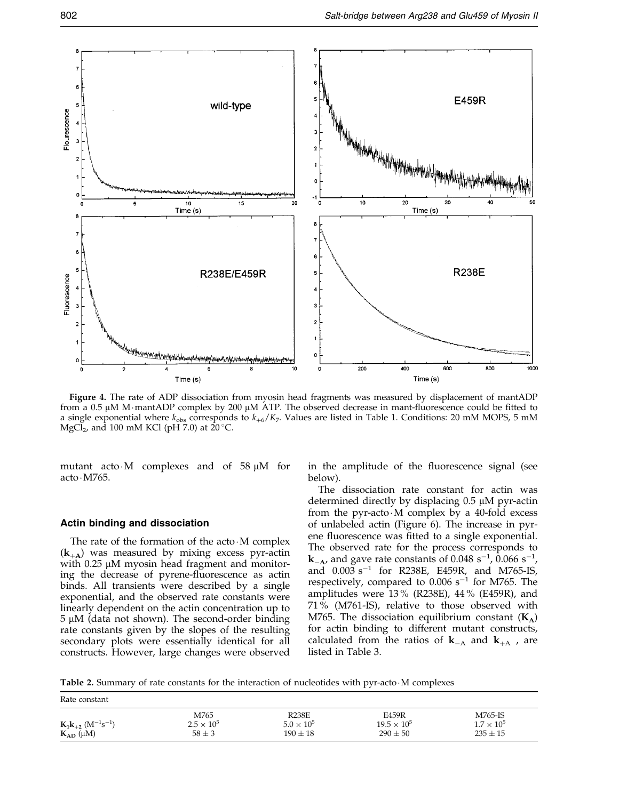<span id="page-5-0"></span>

Figure 4. The rate of ADP dissociation from myosin head fragments was measured by displacement of mantADP from a 0.5  $\mu$ M M·mantADP complex by 200  $\mu$ M ATP. The observed decrease in mant-fluorescence could be fitted to a single exponential where  $k_{obs}$  corresponds to  $k_{+6}/K_7$ . Values are listed i[n Table 1. C](#page-2-0)onditions: 20 mM MOPS, 5 mM MgCl<sub>2</sub>, and 100 mM KCl (pH 7.0) at  $20^{\circ}$ C.

mutant acto $\cdot$ M complexes and of 58  $\mu$ M for acto · M765.

### Actin binding and dissociation

The rate of the formation of the acto $\cdot$ M complex  $(k_{+A})$  was measured by mixing excess pyr-actin with  $0.25 \mu M$  myosin head fragment and monitoring the decrease of pyrene-fluorescence as actinent binds. All transients were described by a single exponential, and the observed rate constants were linearly dependent on the actin concentration up to  $5 \mu M$  (data not shown). The second-order binding rate constants given by the slopes of the resulting secondary plots were essentially identical for all constructs. However, large changes were observed

in the amplitude of the fluorescence signal (see below).

The dissociation rate constant for actin was determined directly by displacing  $0.5 \mu M$  pyr-actin from the pyr-acto $\cdot$ M complex by a 40-fold excess of unlabeled actin (Figure 6). The increase in pyrene fluorescence was fitted to a single exponential. The observed rate for the process corresponds to  $k_{-A}$ , and gave rate constants of 0.048 s<sup>-1</sup>, 0.066 s<sup>-1</sup>, and  $0.003 \text{ s}^{-1}$  for R238E, E459R, and M765-IS, respectively, compared to  $0.006$  s<sup>-1</sup> for M765. The amplitudes were 13 % (R238E), 44 % (E459R), and 71 % (M761-IS), relative to those observed with M765. The dissociation equilibrium constant  $(K_A)$ for actin binding to different mutant constructs, calculated from the ratios of  $k_{-A}$  and  $k_{+A}$ , are listed i[n Table 3.](#page-6-0)

Table 2. Summary of rate constants for the interaction of nucleotides with pyr-acto $\cdot$ M complexes

| Rate constant                                                         |                                           |                                                     |                                               |                                                |
|-----------------------------------------------------------------------|-------------------------------------------|-----------------------------------------------------|-----------------------------------------------|------------------------------------------------|
| $K_1k_{+2}$ (M <sup>-1</sup> s <sup>-1</sup> )<br>$K_{AD}$ ( $\mu$ M) | M765<br>$2.5 \times 10^{5}$<br>$58 \pm 3$ | <b>R238E</b><br>$5.0 \times 10^{5}$<br>$190 \pm 18$ | E459R<br>$19.5 \times 10^{5}$<br>$290 \pm 50$ | M765-IS<br>$1.7 \times 10^{5}$<br>$235 \pm 15$ |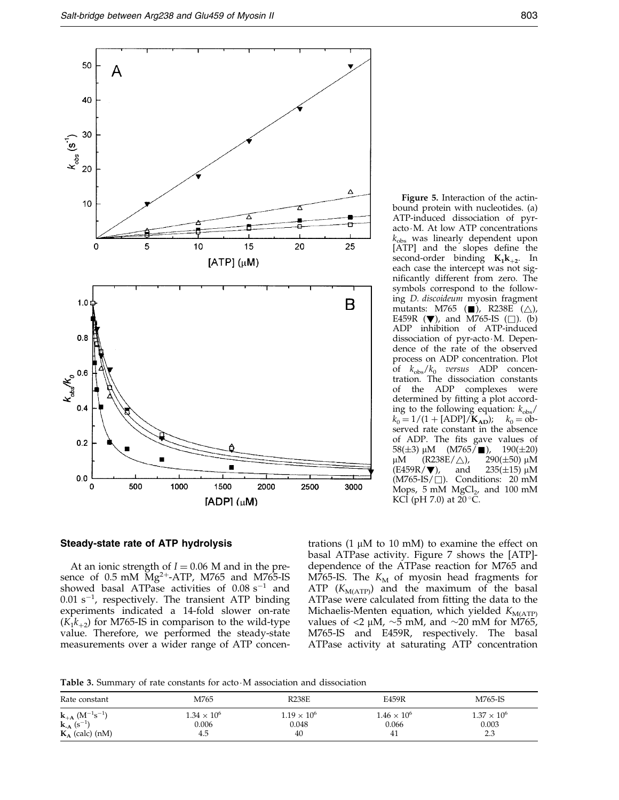<span id="page-6-0"></span>

Figure 5. Interaction of the actinbound protein with nucleotides. (a) ATP-induced dissociation of pyracto $\cdot$ M. At low ATP concentrations  $k_{\text{obs}}$  was linearly dependent upon [ATP] and the slopes define the second-order binding  $K_1k_{+2}$ . In each case the intercept was not significantly different from zero. The symbols correspond to the following D. discoideum myosin fragment mutants: M765 ( $\Box$ ), R238E ( $\triangle$ ), E459R  $(\blacktriangledown)$ , and M765-IS ( $\square$ ). (b) ADP inhibition of ATP-induced dissociation of pyr-acto M. Dependence of the rate of the observed process on ADP concentration. Plot of  $k_{\text{obs}}/k_0$  versus ADP concentration. The dissociation constants of the ADP complexes were determined by fitting a plot according to the following equation:  $k_{\text{obs}}/$  $k_0 = 1/(1 + [ADP]/K_{AD}); \quad k_0 =$ observed rate constant in the absence of ADP. The fits gave values of 58(±3) μM (M765/■), 190(±20)<br>μM (R238E/△), 290(±50) μM μM (R238E/ $\triangle$ ), 290(±50) μM<br>(E459R/▼), and 235(±15) μM  $235(\pm 15)$  µM  $(M765-IS/\square)$ . Conditions: 20 mM Mops,  $5 \text{ mM } MgCl<sub>2</sub>$ , and  $100 \text{ mM}$ KCl (pH 7.0) at  $20^{\circ}$ C.

### Steady-state rate of ATP hydrolysis

At an ionic strength of  $I = 0.06$  M and in the presence of  $0.5$  mM  $Mg^{2+}-ATP$ , M765 and M765-IS showed basal ATPase activities of  $0.08 \text{ s}^{-1}$  and  $0.01$  s<sup>-1</sup>, respectively. The transient ATP binding experiments indicated a 14-fold slower on-rate  $(K_1k_{+2})$  for M765-IS in comparison to the wild-type value. Therefore, we performed the steady-state measurements over a wider range of ATP concen-

trations (1  $\mu$ M to 10 mM) to examine the effect on basal ATPase activity. Figure 7 shows the [ATP] dependence of the ATPase reaction for M765 and M765-IS. The  $K_M$  of myosin head fragments for ATP  $(K_{M(ATP)})$  and the maximum of the basal ATPase were calculated from fitting the data to the Michaelis-Menten equation, which yielded  $K_{\text{M(ATP)}}$ values of  $\langle 2 \mu M, \sim \overline{5} \text{ mM}$ , and  $\sim 20 \text{ mM}$  for M765, M765-IS and E459R, respectively. The basal ATPase activity at saturating ATP concentration

Table 3. Summary of rate constants for acto M association and dissociation

| Rate constant                                           | M765               | <b>R238E</b>       | E459R                | M765-IS            |
|---------------------------------------------------------|--------------------|--------------------|----------------------|--------------------|
| ${\bf k}_{+{\bf A}}$ (M <sup>-1</sup> s <sup>-1</sup> ) | $1.34 \times 10^6$ | $1.19 \times 10^6$ | $1.46 \times 10^{6}$ | $1.37 \times 10^6$ |
| ${\bf k}_A$ (s <sup>-1</sup> )                          | 0.006              | 0.048              | 0.066                | 0.003              |
| $K_A$ (calc) (nM)                                       | 4.5                | 40                 | 41                   | 2.3                |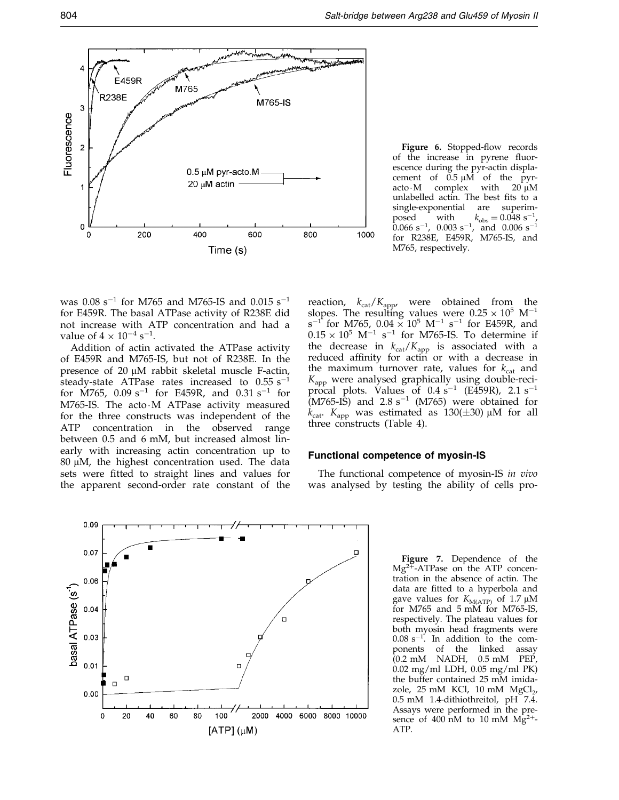

Figure 6. Stopped-flow records of the increase in pyrene fluorescence during the pyr-actin displacement of  $0.5 \mu M$  of the pyracto $\cdot$ M complex with 20  $\mu$ M unlabelled actin. The best fits to a single-exponential are superimposed with  $k_{\text{obs}} = 0.048 \text{ s}^{-1}$ ,<br>0.066 s<sup>-1</sup>, 0.003 s<sup>-1</sup>, and 0.006 s<sup>-1</sup>  $k_{\rm obs} = 0.048 \text{ s}^{-1}$ for R238E, E459R, M765-IS, and M765, respectively.

was  $0.08 \text{ s}^{-1}$  for M765 and M765-IS and  $0.015 \text{ s}^{-1}$ for E459R. The basal ATPase activity of R238E did not increase with ATP concentration and had a value of  $4 \times 10^{-4}$  s<sup>-1</sup>.

Addition of actin activated the ATPase activity of E459R and M765-IS, but not of R238E. In the presence of  $20 \mu M$  rabbit skeletal muscle F-actin, steady-state ATPase rates increased to  $0.55 \text{ s}^{-1}$ for M765, 0.09 s<sup>-1</sup> for E459R, and 0.31 s<sup>-1</sup> for M765-IS. The acto $\cdot$ M ATPase activity measured for the three constructs was independent of the ATP concentration in the observed range between 0.5 and 6 mM, but increased almost linearly with increasing actin concentration up to  $80 \mu$ M, the highest concentration used. The data sets were fitted to straight lines and values for the apparent second-order rate constant of the

reaction,  $k_{\text{cat}}/K_{\text{app}}$ , were obtained from the slopes. The resulting values were  $0.25 \times 10^5$  M<sup>-1</sup>  $s^{-1}$  for M765, 0.04  $\times$  10<sup>5</sup> M<sup>-1</sup> s<sup>-1</sup> for E459R, and  $0.15 \times 10^5$  M<sup>-1</sup> s<sup>-1</sup> for M765-IS. To determine if the decrease in  $k_{\text{cat}}/K_{\text{app}}$  is associated with a reduced affinity for actin or with a decrease in the maximum turnover rate, values for  $k_{\text{cat}}$  and  $K_{\text{app}}$  were analysed graphically using double-reciprocal plots. Values of  $0.4 \text{ s}^{-1}$  (E459R),  $2.1 \text{ s}^{-1}$  $(M765-I\dot{S})$  and  $2.8 s^{-1}$  (M765) were obtained for  $k_{\text{cat}}$ .  $K_{\text{app}}$  was estimated as 130( $\pm$ 30) µM for all three constructs [\(Table 4\)](#page-8-0).

### Functional competence of myosin-IS

The functional competence of myosin-IS in vivo was analysed by testing the ability of cells pro-



Figure 7. Dependence of the  $Mg^{2+}$ -ATPase on the ATP concentration in the absence of actin. The data are fitted to a hyperbola and gave values for  $K_{\text{M(ATP)}}$  of 1.7 µM for M765 and 5 mM for M765-IS, respectively. The plateau values for both myosin head fragments were  $0.08 \text{ s}^{-1}$ . In addition to the components of the linked assay  $(0.2 \text{ mM}$  NADH,  $0.5 \text{ mM}$  PEP, 0.02 mg/ml LDH, 0.05 mg/ml PK) the buffer contained 25 mM imidazole,  $25 \text{ mM}$  KCl,  $10 \text{ mM}$  MgCl<sub>2</sub>, 0.5 mM 1.4-dithiothreitol, pH 7.4. Assays were performed in the presence of 400 nM to 10 mM  $Mg^{2+}$ -ATP.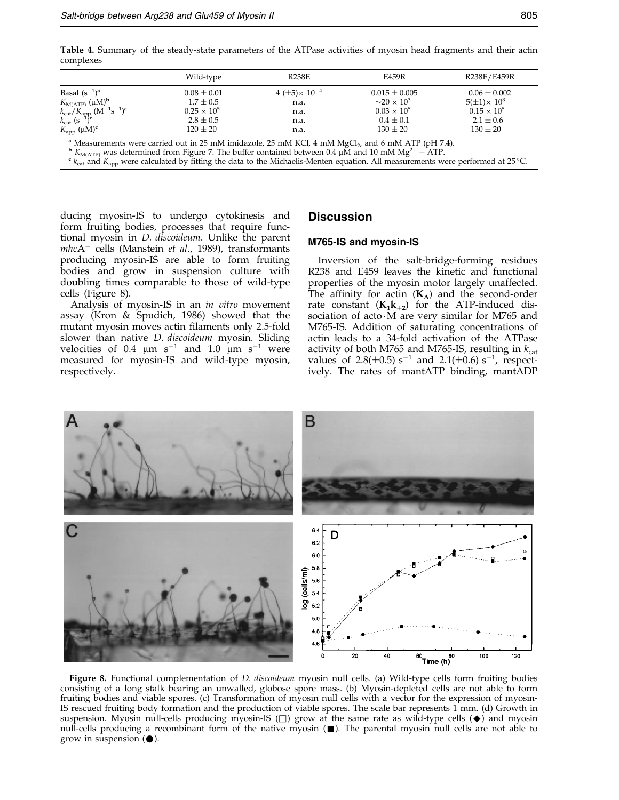<span id="page-8-0"></span>Table 4. Summary of the steady-state parameters of the ATPase activities of myosin head fragments and their actin complexes

|                                                                                  | Wild-type            | <b>R238E</b>                 | E459R                              | R238E/E459R            |
|----------------------------------------------------------------------------------|----------------------|------------------------------|------------------------------------|------------------------|
| Basal $(s^{-1})^a$                                                               | $0.08 \pm 0.01$      | $4 \ (\pm 5) \times 10^{-4}$ | $0.015 \pm 0.005$                  | $0.06 \pm 0.002$       |
| $K_{\text{M(ATP)}} (\mu M)^b$                                                    | $1.7 \pm 0.5$        | n.a.                         | $\sim$ 20 $\times$ 10 <sup>3</sup> | $5(\pm 1) \times 10^3$ |
| $k_{\text{cat}}/K_{\text{app}} (M^{-1} s^{-1})^c$<br>$k_{\text{cat}} (s^{-1})^c$ | $0.25 \times 10^{5}$ | n.a.                         | $0.03 \times 10^{5}$               | $0.15 \times 10^{5}$   |
|                                                                                  | $2.8 \pm 0.5$        | n.a.                         | $0.4 \pm 0.1$                      | $2.1 \pm 0.6$          |
| $K_{\rm app}$ (µM) <sup>c</sup>                                                  | $120 \pm 20$         | n.a.                         | $130 \pm 20$                       | $130 \pm 20$           |

<sup>a</sup> Measurements were carried out in 25 mM imidazole, 25 mM KCl, 4 mM MgCl<sub>2</sub>, and 6 mM ATP (pH 7.4).<br><sup>b</sup>  $K_{\text{M(ATP)}}$  was determined from Figure 7. The buffer contained between 0.4 µM and 10 mM Mg<sup>2+</sup> – ATP.<br><sup>c</sup>  $k_{\text{cat}}$ 

ducing myosin-IS to undergo cytokinesis and form fruiting bodies, processes that require functional myosin in D. discoideum. Unlike the parent  $mhcA^-$  cells [\(Manstein](#page-11-0) et al., 1989), transformants producing myosin-IS are able to form fruiting bodies and grow in suspension culture with doubling times comparable to those of wild-type cells (Figure 8).

Analysis of myosin-IS in an in vitro movement assay [\(Kron &](#page-11-0) Spudich, 1986) showed that the mutant myosin moves actin filaments only 2.5-fold slower than native *D. discoideum* myosin. Sliding velocities of 0.4  $\mu$ m s<sup>-1</sup> and 1.0  $\mu$ m s<sup>-1</sup> were measured for myosin-IS and wild-type myosin, respectively.

### **Discussion**

### M765-IS and myosin-IS

Inversion of the salt-bridge-forming residues R238 and E459 leaves the kinetic and functional properties of the myosin motor largely unaffected. The affinity for actin  $(K_A)$  and the second-order rate constant  $(K_1k_{+2})$  for the ATP-induced dissociation of acto $M$  are very similar for M765 and M765-IS. Addition of saturating concentrations of actin leads to a 34-fold activation of the ATPase activity of both M765 and M765-IS, resulting in  $k_{\text{cat}}$ values of  $2.8(\pm 0.5)$  s<sup>-1</sup> and  $2.1(\pm 0.6)$  s<sup>-1</sup>, respectively. The rates of mantATP binding, mantADP



Figure 8. Functional complementation of *D. discoideum* myosin null cells. (a) Wild-type cells form fruiting bodies consisting of a long stalk bearing an unwalled, globose spore mass. (b) Myosin-depleted cells are not able to form fruiting bodies and viable spores. (c) Transformation of myosin null cells with a vector for the expression of myosin-IS rescued fruiting body formation and the production of viable spores. The scale bar represents 1 mm. (d) Growth in suspension. Myosin null-cells producing myosin-IS  $(\Box)$  grow at the same rate as wild-type cells  $(\blacklozenge)$  and myosin null-cells producing a recombinant form of the native myosin  $(\blacksquare)$ . The parental myosin null cells are not able to grow in suspension  $(\bullet)$ .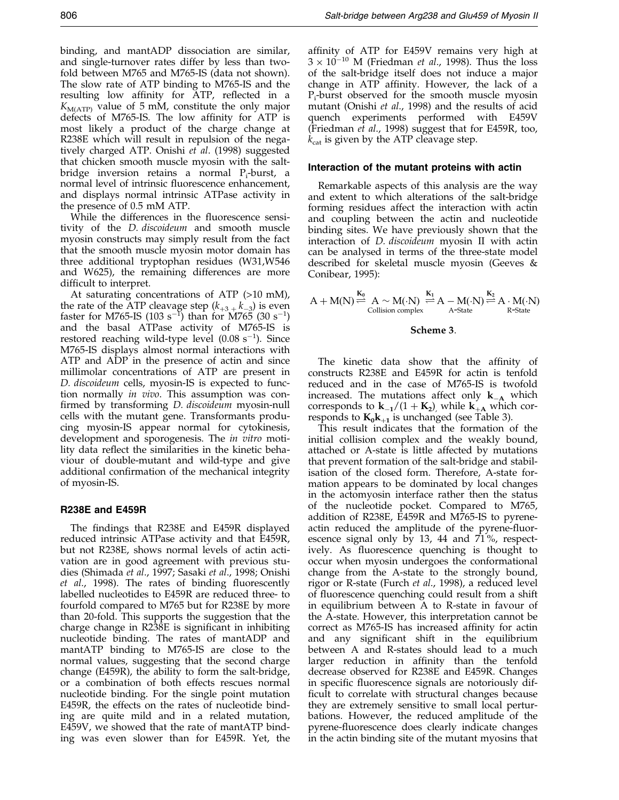binding, and mantADP dissociation are similar, and single-turnover rates differ by less than twofold between M765 and M765-IS (data not shown). The slow rate of ATP binding to M765-IS and the resulting low affinity for ATP, reflected in a  $K_{\text{M(ATP)}}$  value of 5 mM, constitute the only major defects of M765-IS. The low affinity for ATP is most likely a product of the charge change at R238E which will result in repulsion of the negatively charged ATP. [Onishi](#page-12-0) et al. (1998) suggested that chicken smooth muscle myosin with the saltbridge inversion retains a normal P<sub>i</sub>-burst, a normal level of intrinsic fluorescence enhancement, and displays normal intrinsic ATPase activity in the presence of 0.5 mM ATP.

While the differences in the fluorescence sensitivity of the D. discoideum and smooth muscle myosin constructs may simply result from the fact that the smooth muscle myosin motor domain has three additional tryptophan residues (W31,W546 and W625), the remaining differences are more difficult to interpret.

At saturating concentrations of ATP (>10 mM), the rate of the ATP cleavage step  $(k_{+3}^{}, k_{-3}^{})$  is even faster for M765-IS (103  $s^{-1}$ ) than for M765 (30  $s^{-1}$ ) and the basal ATPase activity of M765-IS is restored reaching wild-type level  $(0.08 \text{ s}^{-1})$ . Since M765-IS displays almost normal interactions with ATP and ADP in the presence of actin and since millimolar concentrations of ATP are present in D. discoideum cells, myosin-IS is expected to function normally in vivo. This assumption was con firmed by transforming *D. discoideum* myosin-null cells with the mutant gene. Transformants producing myosin-IS appear normal for cytokinesis, development and sporogenesis. The *in vitro* motility data reflect the similarities in the kinetic behaviour of double-mutant and wild-type and give additional confirmation of the mechanical integrity of myosin-IS.

### R238E and E459R

The findings that R238E and E459R displayed reduced intrinsic ATPase activity and that E459R, but not R238E, shows normal levels of actin activation are in good agreement with previous studies [\(Shimada](#page-12-0) et al., 1997[; Sasaki](#page-12-0) et al., 1998; [Onishi](#page-12-0)  $et$  al., 1998). The rates of binding fluorescently labelled nucleotides to E459R are reduced three- to fourfold compared to M765 but for R238E by more than 20-fold. This supports the suggestion that the charge change in R238E is significant in inhibiting nucleotide binding. The rates of mantADP and mantATP binding to M765-IS are close to the normal values, suggesting that the second charge change (E459R), the ability to form the salt-bridge, or a combination of both effects rescues normal nucleotide binding. For the single point mutation E459R, the effects on the rates of nucleotide binding are quite mild and in a related mutation, E459V, we showed that the rate of mantATP binding was even slower than for E459R. Yet, the affinity of ATP for E459V remains very high at  $3 \times 10^{-10}$  M [\(Friedma](#page-11-0)n *et al.*, 1998). Thus the loss of the salt-bridge itself does not induce a major change in ATP affinity. However, the lack of a Pi -burst observed for the smooth muscle myosin mutant [\(Onishi](#page-12-0) et al., 1998) and the results of acid quench experiments performed with E459V [\(Friedman](#page-11-0) et al., 1998) suggest that for E459R, too,  $k_{\text{cat}}$  is given by the ATP cleavage step.

### Interaction of the mutant proteins with actin

Remarkable aspects of this analysis are the way and extent to which alterations of the salt-bridge forming residues affect the interaction with actin and coupling between the actin and nucleotide binding sites. We have previously shown that the interaction of D. discoideum myosin II with actin can be analysed in terms of the three-state model described for skeletal muscle myosin [\(Geeves](#page-11-0) & Conibear, 1995):

$$
A + M(N) \mathop{ \rightleftarrows} \limits_{\text{Collision complex}} A \sim M(\cdot N) \mathop{ \rightleftarrows} \limits_{A - M(N)} \limits_{A - State} \hspace{1.5cm} \mathop{ \sum }_{R - State}^{K_2} A \cdot M(\cdot N)
$$

#### Scheme 3:

The kinetic data show that the affinity of constructs R238E and E459R for actin is tenfold reduced and in the case of M765-IS is twofold increased. The mutations affect only  $k_{-A}$  which corresponds to  $k_{-1}/(1 + K_2)$ , while  $k_{+A}$  which corresponds to  $K_0k_{+1}$  is unchanged (se[e Table 3\).](#page-6-0)

This result indicates that the formation of the initial collision complex and the weakly bound, attached or A-state is little affected by mutations that prevent formation of the salt-bridge and stabilisation of the closed form. Therefore, A-state formation appears to be dominated by local changes in the actomyosin interface rather then the status of the nucleotide pocket. Compared to M765, addition of R238E, E459R and M765-IS to pyreneactin reduced the amplitude of the pyrene-fluorescence signal only by 13, 44 and 71 %, respectively. As fluorescence quenching is thought to occur when myosin undergoes the conformational change from the A-state to the strongly bound, rigor or R-state [\(Furch](#page-11-0) et al., 1998), a reduced level of fluorescence quenching could result from a shift in equilibrium between A to R-state in favour of the A-state. However, this interpretation cannot be correct as M765-IS has increased affinity for actin and any significant shift in the equilibrium between A and R-states should lead to a much larger reduction in affinity than the tenfold decrease observed for R238E and E459R. Changes in specific fluorescence signals are notoriously difficult to correlate with structural changes because they are extremely sensitive to small local perturbations. However, the reduced amplitude of the pyrene-fluorescence does clearly indicate changes in the actin binding site of the mutant myosins that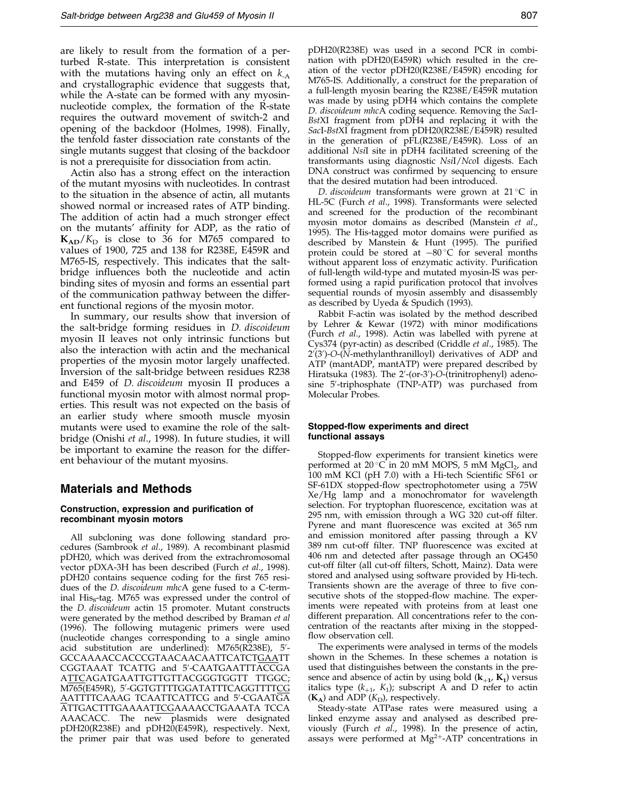are likely to result from the formation of a perturbed R-state. This interpretation is consistent with the mutations having only an effect on  $k_{-A}$ and crystallographic evidence that suggests that, while the A-state can be formed with any myosinnucleotide complex, the formation of the R-state requires the outward movement of switch-2 and opening of the backdoor [\(Holmes,](#page-11-0) 1998). Finally, the tenfold faster dissociation rate constants of the single mutants suggest that closing of the backdoor is not a prerequisite for dissociation from actin.

Actin also has a strong effect on the interaction of the mutant myosins with nucleotides. In contrast to the situation in the absence of actin, all mutants showed normal or increased rates of ATP binding. The addition of actin had a much stronger effect on the mutants' affinity for ADP, as the ratio of  $K_{AD}/K_{D}$  is close to 36 for M765 compared to values of 1900, 725 and 138 for R238E, E459R and M765-IS, respectively. This indicates that the saltbridge influences both the nucleotide and actin binding sites of myosin and forms an essential part of the communication pathway between the different functional regions of the myosin motor.

In summary, our results show that inversion of the salt-bridge forming residues in D. discoideum myosin II leaves not only intrinsic functions but also the interaction with actin and the mechanical properties of the myosin motor largely unaffected. Inversion of the salt-bridge between residues R238 and E459 of D. discoideum myosin II produces a functional myosin motor with almost normal properties. This result was not expected on the basis of an earlier study where smooth muscle myosin mutants were used to examine the role of the saltbridge [\(Onishi](#page-12-0) et al., 1998). In future studies, it will be important to examine the reason for the different behaviour of the mutant myosins.

### Materials and Methods

#### Construction, expression and purification of recombinant myosin motors

All subcloning was done following standard pro-cedures [\(Sambrook](#page-12-0) et al., 1989). A recombinant plasmid pDH20, which was derived from the extrachromosomal vector pDXA-3H has been described [\(Furch](#page-11-0) et al., 1998). pDH20 contains sequence coding for the first 765 residues of the D. discoideum mhcA gene fused to a C-terminal His<sub>8</sub>-tag. M765 was expressed under the control of the *D. discoideum* actin 15 promoter. Mutant constructs were generated by the method described b[y Braman](#page-11-0) et al (1996). The following mutagenic primers were used (nucleotide changes corresponding to a single amino acid substitution are underlined): M765(R238E), 5′-GCCAAAACCACCCGTAACAACAATTCATCTGAATT CGGTAAAT TCATTG and 5'-CAATGAATTTACCGA ATTCAGATGAATTGTTGTTACGGGTGGTT TTGGC; M765(E459R), 5′-GGTGTTTTGGATATTTCAGGTTTT<u>CG</u> <u>A</u>ATTTTCAAAG TCAATTCATTCG and 5'-CGAATGA ATTGACTTTGAAAATTCGAAAACCTGAAATA TCCA AAACACC. The new plasmids were designated pDH20(R238E) and pDH20(E459R), respectively. Next, the primer pair that was used before to generated

pDH20(R238E) was used in a second PCR in combination with pDH20(E459R) which resulted in the creation of the vector pDH20(R238E/E459R) encoding for M765-IS. Additionally, a construct for the preparation of a full-length myosin bearing the R238E/E459R mutation was made by using pDH4 which contains the complete D. discoideum mhcA coding sequence. Removing the SacI-BstXI fragment from pDH4 and replacing it with the SacI-BstXI fragment from pDH20(R238E/E459R) resulted in the generation of pFL(R238E/E459R). Loss of an additional NsiI site in pDH4 facilitated screening of the transformants using diagnostic NsiI/NcoI digests. Each DNA construct was confirmed by sequencing to ensure that the desired mutation had been introduced.

D. discoideum transformants were grown at  $21^{\circ}$ C in HL-5C [\(Furch](#page-11-0) et al., 1998). Transformants were selected and screened for the production of the recombinant myosin motor domains as described [\(Manstein](#page-11-0) et al., 1995). The His-tagged motor domains were purified as described by [Manstein](#page-11-0) & Hunt (1995). The purified protein could be stored at  $-80^{\circ}$ C for several months without apparent loss of enzymatic activity. Purification of full-length wild-type and mutated myosin-IS was performed using a rapid purification protocol that involves sequential rounds of myosin assembly and disassembly as described b[y Uyeda &](#page-12-0) Spudich (1993).

Rabbit F-actin was isolated by the method described by [Lehrer &](#page-11-0) Kewar  $(1972)$  with minor modifications [\(Furch](#page-11-0) et al., 1998). Actin was labelled with pyrene at Cys374 (pyr-actin) as described [\(Criddle](#page-11-0) et al., 1985). The 2'(3')-O-(N-methylanthranilloyl) derivatives of ADP and ATP (mantADP, mantATP) were prepared described by [Hiratsuka](#page-11-0) (1983). The 2'-(or-3')-O-(trinitrophenyl) adenosine 5'-triphosphate (TNP-ATP) was purchased from Molecular Probes.

#### Stopped-flow experiments and direct functional assays

Stopped-flow experiments for transient kinetics were performed at 20 $\degree$ C in 20 mM MOPS, 5 mM MgCl<sub>2</sub>, and 100 mM KCl (pH  $7.0$ ) with a Hi-tech Scientific SF61 or SF-61DX stopped-flow spectrophotometer using a 75W Xe/Hg lamp and a monochromator for wavelength selection. For tryptophan fluorescence, excitation was at 295 nm, with emission through a WG 320 cut-off filter. Pyrene and mant fluorescence was excited at 365 nm and emission monitored after passing through a KV 389 nm cut-off filter. TNP fluorescence was excited at 406 nm and detected after passage through an OG450 cut-off filter (all cut-off filters, Schott, Mainz). Data were stored and analysed using software provided by Hi-tech. Transients shown are the average of three to five consecutive shots of the stopped-flow machine. The experiments were repeated with proteins from at least one different preparation. All concentrations refer to the concentration of the reactants after mixing in the stopped flow observation cell.

The experiments were analysed in terms of the models shown in the Schemes. In these schemes a notation is used that distinguishes between the constants in the presence and absence of actin by using bold  $(k_{+1}, K_1)$  versus italics type  $(k_{+1}, K_1)$ ; subscript A and D refer to actin  $(K_A)$  and ADP  $(K_D)$ , respectively.

Steady-state ATPase rates were measured using a linked enzyme assay and analysed as described previously [\(Furch](#page-11-0) et al., 1998). In the presence of actin, assays were performed at  $Mg^{2+}$ -ATP concentrations in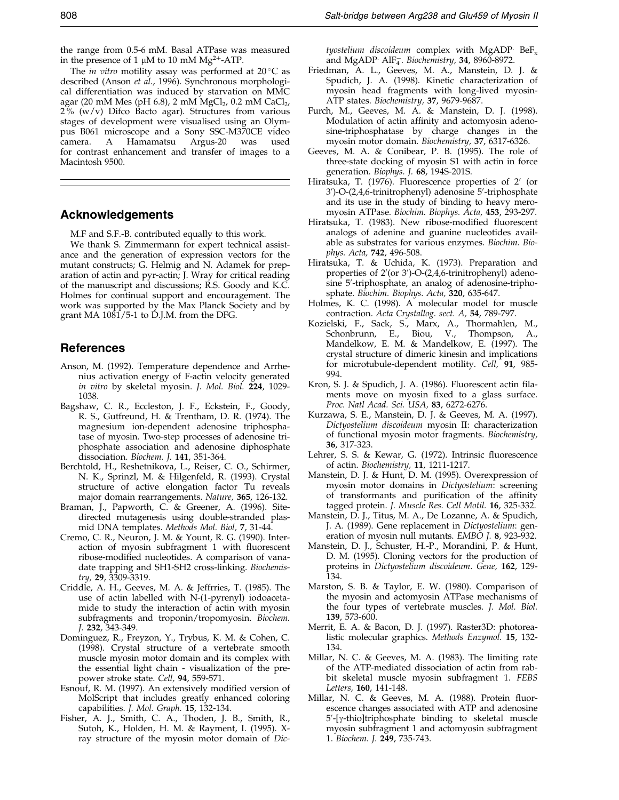<span id="page-11-0"></span>the range from 0.5-6 mM. Basal ATPase was measured in the presence of 1  $\mu$ M to 10 mM Mg<sup>2+</sup>-ATP.

The *in vitro* motility assay was performed at  $20^{\circ}$ C as described (Anson et al., 1996). Synchronous morphological differentiation was induced by starvation on MMC agar (20 mM Mes (pH 6.8), 2 mM MgCl<sub>2</sub>, 0.2 mM CaCl<sub>2</sub>, 2 % (w/v) Difco Bacto agar). Structures from various stages of development were visualised using an Olympus B061 microscope and a Sony SSC-M370CE video camera. A Hamamatsu Argus-20 was used for contrast enhancement and transfer of images to a Macintosh 9500.

### Acknowledgements

M.F and S.F.-B. contributed equally to this work.

We thank S. Zimmermann for expert technical assistance and the generation of expression vectors for the mutant constructs; G. Helmig and N. Adamek for preparation of actin and pyr-actin; J. Wray for critical reading of the manuscript and discussions; R.S. Goody and K.C. Holmes for continual support and encouragement. The work was supported by the Max Planck Society and by grant MA 1081/5-1 to D.J.M. from the DFG.

### References

- Anson, M. (1992). Temperature dependence and Arrhenius activation energy of F-actin velocity generated in vitro by skeletal myosin. J. Mol. Biol. 224, 1029- 1038.
- Bagshaw, C. R., Eccleston, J. F., Eckstein, F., Goody, R. S., Gutfreund, H. & Trentham, D. R. (1974). The magnesium ion-dependent adenosine triphosphatase of myosin. Two-step processes of adenosine triphosphate association and adenosine diphosphate dissociation. Biochem. J. 141, 351-364.
- Berchtold, H., Reshetnikova, L., Reiser, C. O., Schirmer, N. K., Sprinzl, M. & Hilgenfeld, R. (1993). Crystal structure of active elongation factor Tu reveals major domain rearrangements. Nature, 365, 126-132.
- Braman, J., Papworth, C. & Greener, A. (1996). Sitedirected mutagenesis using double-stranded plasmid DNA templates. Methods Mol. Biol, 7, 31-44.
- Cremo, C. R., Neuron, J. M. & Yount, R. G. (1990). Interaction of myosin subfragment 1 with fluorescent ribose-modified nucleotides. A comparison of vanadate trapping and SH1-SH2 cross-linking. Biochemistry, 29, 3309-3319.
- Criddle, A. H., Geeves, M. A. & Jeffrries, T. (1985). The use of actin labelled with N-(1-pyrenyl) iodoacetamide to study the interaction of actin with myosin subfragments and troponin/tropomyosin. Biochem. J. 232, 343-349.
- Dominguez, R., Freyzon, Y., Trybus, K. M. & Cohen, C. (1998). Crystal structure of a vertebrate smooth muscle myosin motor domain and its complex with the essential light chain - visualization of the prepower stroke state. Cell, 94, 559-571.
- Esnouf, R. M. (1997). An extensively modified version of MolScript that includes greatly enhanced coloring capabilities. J. Mol. Graph. 15, 132-134.
- Fisher, A. J., Smith, C. A., Thoden, J. B., Smith, R., Sutoh, K., Holden, H. M. & Rayment, I. (1995). Xray structure of the myosin motor domain of Dic-

tyostelium discoideum complex with MgADP  $BeF_x$ and MgADP  $\mathrm{AlF_{4}^{-}}$ . Biochemistry, 34, 8960-8972.

- Friedman, A. L., Geeves, M. A., Manstein, D. J. & Spudich, J. A. (1998). Kinetic characterization of myosin head fragments with long-lived myosin-ATP states. Biochemistry, 37, 9679-9687.
- Furch, M., Geeves, M. A. & Manstein, D. J. (1998). Modulation of actin affinity and actomyosin adenosine-triphosphatase by charge changes in the myosin motor domain. Biochemistry, 37, 6317-6326.
- Geeves, M. A. & Conibear, P. B. (1995). The role of three-state docking of myosin S1 with actin in force generation. Biophys. J. 68, 194S-201S.
- Hiratsuka, T. (1976). Fluorescence properties of 2' (or 3')-O-(2,4,6-trinitrophenyl) adenosine 5'-triphosphate and its use in the study of binding to heavy meromyosin ATPase. Biochim. Biophys. Acta, 453, 293-297.
- Hiratsuka, T. (1983). New ribose-modified fluorescent analogs of adenine and guanine nucleotides available as substrates for various enzymes. Biochim. Biophys. Acta, 742, 496-508.
- Hiratsuka, T. & Uchida, K. (1973). Preparation and properties of 2'(or 3')-O-(2,4,6-trinitrophenyl) adenosine 5'-triphosphate, an analog of adenosine-triphosphate. Biochim. Biophys. Acta, 320, 635-647.
- Holmes, K. C. (1998). A molecular model for muscle contraction. Acta Crystallog. sect. A, 54, 789-797.
- Kozielski, F., Sack, S., Marx, A., Thormahlen, M., Schonbrunn, E., Biou, V., Thompson, A., Mandelkow, E. M. & Mandelkow, E. (1997). The crystal structure of dimeric kinesin and implications for microtubule-dependent motility. Cell, 91, 985- 994.
- Kron, S. J. & Spudich, J. A. (1986). Fluorescent actin filaments move on myosin fixed to a glass surface. Proc. Natl Acad. Sci. USA, 83, 6272-6276.
- Kurzawa, S. E., Manstein, D. J. & Geeves, M. A. (1997). Dictyostelium discoideum myosin II: characterization of functional myosin motor fragments. Biochemistry, 36, 317-323.
- Lehrer, S. S. & Kewar, G. (1972). Intrinsic fluorescence of actin. Biochemistry, 11, 1211-1217.
- Manstein, D. J. & Hunt, D. M. (1995). Overexpression of myosin motor domains in Dictyostelium: screening of transformants and purification of the affinity tagged protein. J. Muscle Res. Cell Motil. 16, 325-332.
- Manstein, D. J., Titus, M. A., De Lozanne, A. & Spudich, J. A. (1989). Gene replacement in Dictyostelium: generation of myosin null mutants. EMBO J. 8, 923-932.
- Manstein, D. J., Schuster, H.-P., Morandini, P. & Hunt, D. M. (1995). Cloning vectors for the production of proteins in Dictyostelium discoideum. Gene, 162, 129- 134.
- Marston, S. B. & Taylor, E. W. (1980). Comparison of the myosin and actomyosin ATPase mechanisms of the four types of vertebrate muscles. J. Mol. Biol. 139, 573-600.
- Merrit, E. A. & Bacon, D. J. (1997). Raster3D: photorealistic molecular graphics. Methods Enzymol. 15, 132- 134.
- Millar, N. C. & Geeves, M. A. (1983). The limiting rate of the ATP-mediated dissociation of actin from rabbit skeletal muscle myosin subfragment 1. FEBS Letters, 160, 141-148.
- Millar, N. C. & Geeves, M. A. (1988). Protein fluorescence changes associated with ATP and adenosine  $5'$ -[ $\gamma$ -thio]triphosphate binding to skeletal muscle myosin subfragment 1 and actomyosin subfragment 1. Biochem. J. 249, 735-743.